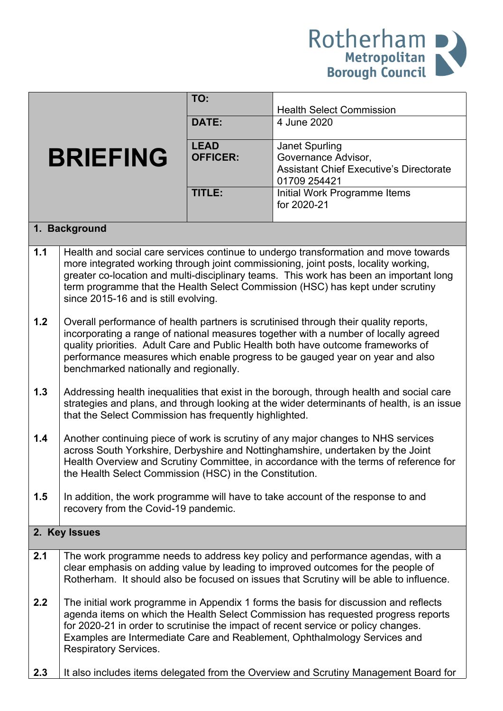

|     |                                                         | TO:             |                                                                                                                                                                          |
|-----|---------------------------------------------------------|-----------------|--------------------------------------------------------------------------------------------------------------------------------------------------------------------------|
|     |                                                         |                 | <b>Health Select Commission</b>                                                                                                                                          |
|     |                                                         | DATE:           | 4 June 2020                                                                                                                                                              |
|     |                                                         | <b>LEAD</b>     | Janet Spurling                                                                                                                                                           |
|     | <b>BRIEFING</b>                                         | <b>OFFICER:</b> | Governance Advisor,                                                                                                                                                      |
|     |                                                         |                 | <b>Assistant Chief Executive's Directorate</b>                                                                                                                           |
|     |                                                         |                 | 01709 254421                                                                                                                                                             |
|     |                                                         | TITLE:          | Initial Work Programme Items<br>for 2020-21                                                                                                                              |
|     |                                                         |                 |                                                                                                                                                                          |
|     | 1. Background                                           |                 |                                                                                                                                                                          |
| 1.1 |                                                         |                 | Health and social care services continue to undergo transformation and move towards                                                                                      |
|     |                                                         |                 | more integrated working through joint commissioning, joint posts, locality working,                                                                                      |
|     |                                                         |                 | greater co-location and multi-disciplinary teams. This work has been an important long<br>term programme that the Health Select Commission (HSC) has kept under scrutiny |
|     | since 2015-16 and is still evolving.                    |                 |                                                                                                                                                                          |
|     |                                                         |                 |                                                                                                                                                                          |
| 1.2 |                                                         |                 | Overall performance of health partners is scrutinised through their quality reports,                                                                                     |
|     |                                                         |                 | incorporating a range of national measures together with a number of locally agreed                                                                                      |
|     |                                                         |                 | quality priorities. Adult Care and Public Health both have outcome frameworks of<br>performance measures which enable progress to be gauged year on year and also        |
|     | benchmarked nationally and regionally.                  |                 |                                                                                                                                                                          |
|     |                                                         |                 |                                                                                                                                                                          |
| 1.3 |                                                         |                 | Addressing health inequalities that exist in the borough, through health and social care                                                                                 |
|     | that the Select Commission has frequently highlighted.  |                 | strategies and plans, and through looking at the wider determinants of health, is an issue                                                                               |
|     |                                                         |                 |                                                                                                                                                                          |
| 1.4 |                                                         |                 | Another continuing piece of work is scrutiny of any major changes to NHS services                                                                                        |
|     |                                                         |                 | across South Yorkshire, Derbyshire and Nottinghamshire, undertaken by the Joint                                                                                          |
|     | the Health Select Commission (HSC) in the Constitution. |                 | Health Overview and Scrutiny Committee, in accordance with the terms of reference for                                                                                    |
|     |                                                         |                 |                                                                                                                                                                          |
| 1.5 |                                                         |                 | In addition, the work programme will have to take account of the response to and                                                                                         |
|     | recovery from the Covid-19 pandemic.                    |                 |                                                                                                                                                                          |
|     | 2. Key Issues                                           |                 |                                                                                                                                                                          |
|     |                                                         |                 |                                                                                                                                                                          |
| 2.1 |                                                         |                 | The work programme needs to address key policy and performance agendas, with a<br>clear emphasis on adding value by leading to improved outcomes for the people of       |
|     |                                                         |                 | Rotherham. It should also be focused on issues that Scrutiny will be able to influence.                                                                                  |
|     |                                                         |                 |                                                                                                                                                                          |
| 2.2 |                                                         |                 | The initial work programme in Appendix 1 forms the basis for discussion and reflects                                                                                     |
|     |                                                         |                 | agenda items on which the Health Select Commission has requested progress reports                                                                                        |
|     |                                                         |                 | for 2020-21 in order to scrutinise the impact of recent service or policy changes.<br>Examples are Intermediate Care and Reablement, Ophthalmology Services and          |
|     | <b>Respiratory Services.</b>                            |                 |                                                                                                                                                                          |
|     |                                                         |                 |                                                                                                                                                                          |
| 2.3 |                                                         |                 | It also includes items delegated from the Overview and Scrutiny Management Board for                                                                                     |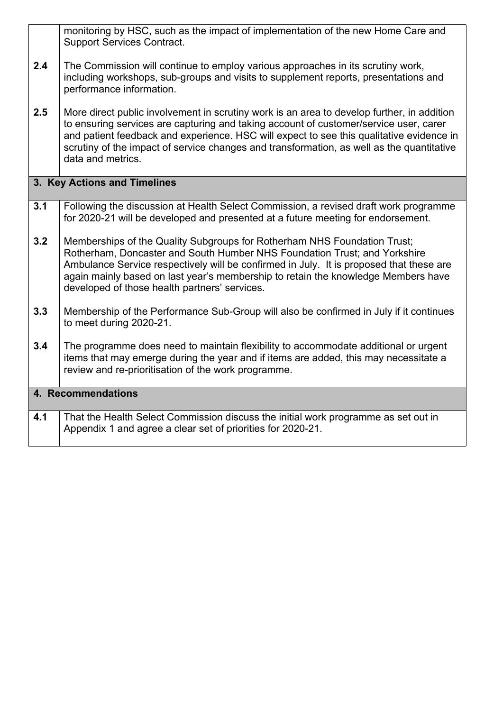|                              | monitoring by HSC, such as the impact of implementation of the new Home Care and<br><b>Support Services Contract.</b>                                                                                                                                                                                                                                                                             |
|------------------------------|---------------------------------------------------------------------------------------------------------------------------------------------------------------------------------------------------------------------------------------------------------------------------------------------------------------------------------------------------------------------------------------------------|
| 2.4                          | The Commission will continue to employ various approaches in its scrutiny work,<br>including workshops, sub-groups and visits to supplement reports, presentations and<br>performance information.                                                                                                                                                                                                |
| 2.5                          | More direct public involvement in scrutiny work is an area to develop further, in addition<br>to ensuring services are capturing and taking account of customer/service user, carer<br>and patient feedback and experience. HSC will expect to see this qualitative evidence in<br>scrutiny of the impact of service changes and transformation, as well as the quantitative<br>data and metrics. |
| 3. Key Actions and Timelines |                                                                                                                                                                                                                                                                                                                                                                                                   |
| 3.1                          | Following the discussion at Health Select Commission, a revised draft work programme<br>for 2020-21 will be developed and presented at a future meeting for endorsement.                                                                                                                                                                                                                          |
| 3.2                          | Memberships of the Quality Subgroups for Rotherham NHS Foundation Trust;<br>Rotherham, Doncaster and South Humber NHS Foundation Trust; and Yorkshire<br>Ambulance Service respectively will be confirmed in July. It is proposed that these are<br>again mainly based on last year's membership to retain the knowledge Members have<br>developed of those health partners' services.            |
| 3.3                          | Membership of the Performance Sub-Group will also be confirmed in July if it continues<br>to meet during 2020-21.                                                                                                                                                                                                                                                                                 |
| 3.4                          | The programme does need to maintain flexibility to accommodate additional or urgent<br>items that may emerge during the year and if items are added, this may necessitate a<br>review and re-prioritisation of the work programme.                                                                                                                                                                |
| 4. Recommendations           |                                                                                                                                                                                                                                                                                                                                                                                                   |
| 4.1                          | That the Health Select Commission discuss the initial work programme as set out in<br>Appendix 1 and agree a clear set of priorities for 2020-21.                                                                                                                                                                                                                                                 |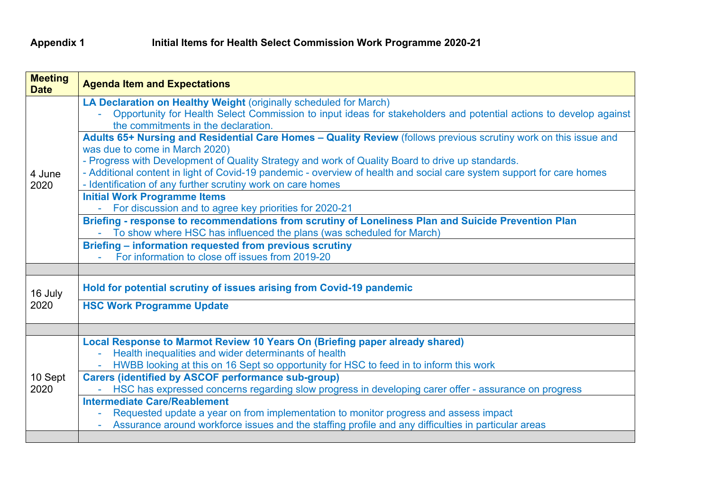| <b>Meeting</b><br><b>Date</b> | <b>Agenda Item and Expectations</b>                                                                                   |
|-------------------------------|-----------------------------------------------------------------------------------------------------------------------|
|                               | LA Declaration on Healthy Weight (originally scheduled for March)                                                     |
|                               | Opportunity for Health Select Commission to input ideas for stakeholders and potential actions to develop against     |
|                               | the commitments in the declaration.                                                                                   |
|                               | Adults 65+ Nursing and Residential Care Homes - Quality Review (follows previous scrutiny work on this issue and      |
|                               | was due to come in March 2020)                                                                                        |
|                               | - Progress with Development of Quality Strategy and work of Quality Board to drive up standards.                      |
| 4 June                        | - Additional content in light of Covid-19 pandemic - overview of health and social care system support for care homes |
| 2020                          | - Identification of any further scrutiny work on care homes                                                           |
|                               | <b>Initial Work Programme Items</b>                                                                                   |
|                               | For discussion and to agree key priorities for 2020-21<br>$\omega_{\rm{max}}$                                         |
|                               | Briefing - response to recommendations from scrutiny of Loneliness Plan and Suicide Prevention Plan                   |
|                               | To show where HSC has influenced the plans (was scheduled for March)                                                  |
|                               | Briefing - information requested from previous scrutiny                                                               |
|                               | For information to close off issues from 2019-20                                                                      |
|                               |                                                                                                                       |
| 16 July                       | Hold for potential scrutiny of issues arising from Covid-19 pandemic                                                  |
| 2020                          | <b>HSC Work Programme Update</b>                                                                                      |
|                               |                                                                                                                       |
|                               |                                                                                                                       |
|                               | Local Response to Marmot Review 10 Years On (Briefing paper already shared)                                           |
|                               | Health inequalities and wider determinants of health                                                                  |
| 10 Sept<br>2020               | HWBB looking at this on 16 Sept so opportunity for HSC to feed in to inform this work                                 |
|                               | <b>Carers (identified by ASCOF performance sub-group)</b>                                                             |
|                               | HSC has expressed concerns regarding slow progress in developing carer offer - assurance on progress                  |
|                               | <b>Intermediate Care/Reablement</b>                                                                                   |
|                               | Requested update a year on from implementation to monitor progress and assess impact                                  |
|                               | Assurance around workforce issues and the staffing profile and any difficulties in particular areas                   |
|                               |                                                                                                                       |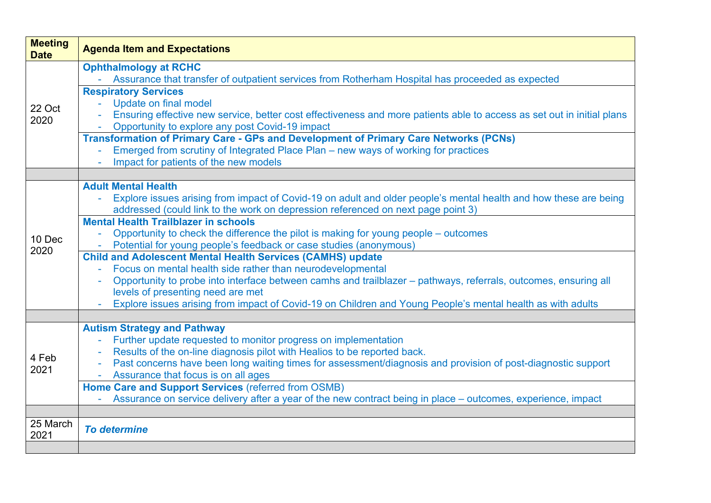| <b>Meeting</b><br><b>Date</b> | <b>Agenda Item and Expectations</b>                                                                                                                                                                                                                                                                                                                                                                                                                                                                                                                                                                                                                                                                                                                                                                                                                                      |  |  |
|-------------------------------|--------------------------------------------------------------------------------------------------------------------------------------------------------------------------------------------------------------------------------------------------------------------------------------------------------------------------------------------------------------------------------------------------------------------------------------------------------------------------------------------------------------------------------------------------------------------------------------------------------------------------------------------------------------------------------------------------------------------------------------------------------------------------------------------------------------------------------------------------------------------------|--|--|
| 22 Oct<br>2020                | <b>Ophthalmology at RCHC</b><br>- Assurance that transfer of outpatient services from Rotherham Hospital has proceeded as expected<br><b>Respiratory Services</b><br>Update on final model<br>$\Delta \sim 10$<br>Ensuring effective new service, better cost effectiveness and more patients able to access as set out in initial plans<br>Opportunity to explore any post Covid-19 impact<br><b>Transformation of Primary Care - GPs and Development of Primary Care Networks (PCNs)</b><br>Emerged from scrutiny of Integrated Place Plan – new ways of working for practices<br>Impact for patients of the new models                                                                                                                                                                                                                                                |  |  |
| 10 Dec<br>2020                | <b>Adult Mental Health</b><br>Explore issues arising from impact of Covid-19 on adult and older people's mental health and how these are being<br>addressed (could link to the work on depression referenced on next page point 3)<br><b>Mental Health Trailblazer in schools</b><br>Opportunity to check the difference the pilot is making for young people – outcomes<br>Potential for young people's feedback or case studies (anonymous)<br><b>Child and Adolescent Mental Health Services (CAMHS) update</b><br>Focus on mental health side rather than neurodevelopmental<br>$\sim$ $^{-1}$<br>Opportunity to probe into interface between camhs and trailblazer – pathways, referrals, outcomes, ensuring all<br>levels of presenting need are met<br>Explore issues arising from impact of Covid-19 on Children and Young People's mental health as with adults |  |  |
| 4 Feb<br>2021                 | <b>Autism Strategy and Pathway</b><br>Further update requested to monitor progress on implementation<br>Results of the on-line diagnosis pilot with Healios to be reported back.<br>Past concerns have been long waiting times for assessment/diagnosis and provision of post-diagnostic support<br>$\blacksquare$<br>Assurance that focus is on all ages<br>$\sim$<br>Home Care and Support Services (referred from OSMB)<br>- Assurance on service delivery after a year of the new contract being in place – outcomes, experience, impact                                                                                                                                                                                                                                                                                                                             |  |  |
| 25 March<br>2021              | <b>To determine</b>                                                                                                                                                                                                                                                                                                                                                                                                                                                                                                                                                                                                                                                                                                                                                                                                                                                      |  |  |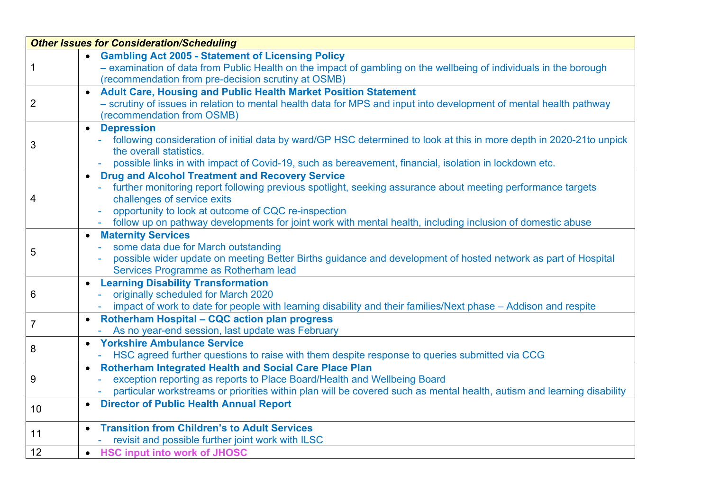| <b>Other Issues for Consideration/Scheduling</b> |                                                                                                                                                                                                                                                                                                                                                                      |  |
|--------------------------------------------------|----------------------------------------------------------------------------------------------------------------------------------------------------------------------------------------------------------------------------------------------------------------------------------------------------------------------------------------------------------------------|--|
| 1                                                | • Gambling Act 2005 - Statement of Licensing Policy<br>- examination of data from Public Health on the impact of gambling on the wellbeing of individuals in the borough<br>(recommendation from pre-decision scrutiny at OSMB)                                                                                                                                      |  |
| 2                                                | • Adult Care, Housing and Public Health Market Position Statement<br>- scrutiny of issues in relation to mental health data for MPS and input into development of mental health pathway<br>(recommendation from OSMB)                                                                                                                                                |  |
| 3                                                | <b>Depression</b><br>$\bullet$<br>following consideration of initial data by ward/GP HSC determined to look at this in more depth in 2020-21to unpick<br>the overall statistics.<br>possible links in with impact of Covid-19, such as bereavement, financial, isolation in lockdown etc.                                                                            |  |
| 4                                                | • Drug and Alcohol Treatment and Recovery Service<br>further monitoring report following previous spotlight, seeking assurance about meeting performance targets<br>challenges of service exits<br>opportunity to look at outcome of CQC re-inspection<br>follow up on pathway developments for joint work with mental health, including inclusion of domestic abuse |  |
| 5                                                | <b>Maternity Services</b><br>some data due for March outstanding<br>possible wider update on meeting Better Births guidance and development of hosted network as part of Hospital<br>Services Programme as Rotherham lead                                                                                                                                            |  |
| 6                                                | <b>Learning Disability Transformation</b><br>$\bullet$<br>originally scheduled for March 2020<br>impact of work to date for people with learning disability and their families/Next phase – Addison and respite                                                                                                                                                      |  |
| $\overline{7}$                                   | • Rotherham Hospital - CQC action plan progress<br>- As no year-end session, last update was February                                                                                                                                                                                                                                                                |  |
| 8                                                | <b>Yorkshire Ambulance Service</b><br>$\bullet$<br>HSC agreed further questions to raise with them despite response to queries submitted via CCG                                                                                                                                                                                                                     |  |
| 9                                                | <b>Rotherham Integrated Health and Social Care Place Plan</b><br>$\bullet$<br>exception reporting as reports to Place Board/Health and Wellbeing Board<br>particular workstreams or priorities within plan will be covered such as mental health, autism and learning disability                                                                                     |  |
| 10                                               | <b>Director of Public Health Annual Report</b><br>$\bullet$                                                                                                                                                                                                                                                                                                          |  |
| 11                                               | <b>Transition from Children's to Adult Services</b><br>- revisit and possible further joint work with ILSC                                                                                                                                                                                                                                                           |  |
| 12                                               | • HSC input into work of JHOSC                                                                                                                                                                                                                                                                                                                                       |  |